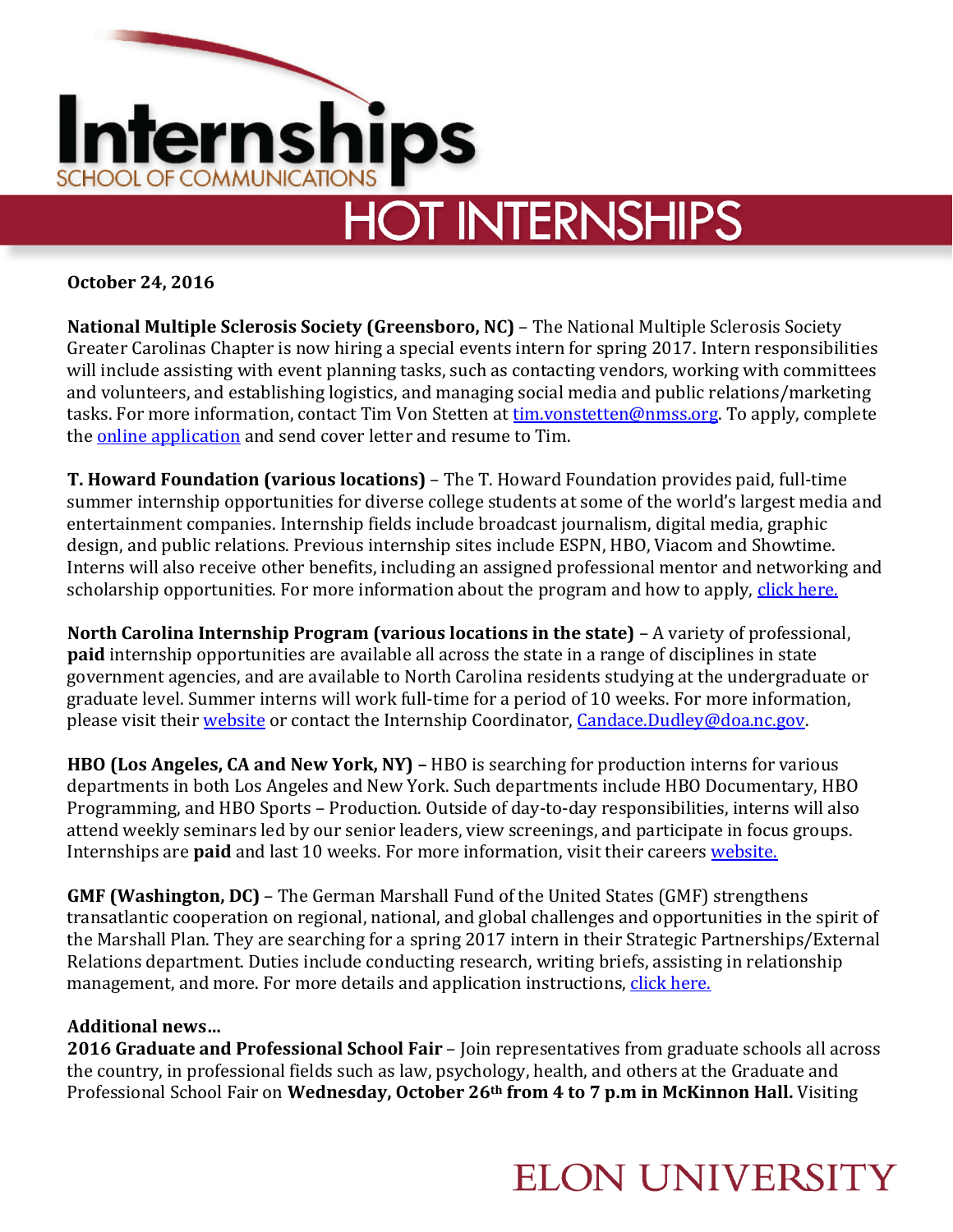

**October 24, 2016**

**National Multiple Sclerosis Society (Greensboro, NC)** – The National Multiple Sclerosis Society Greater Carolinas Chapter is now hiring a special events intern for spring 2017. Intern responsibilities will include assisting with event planning tasks, such as contacting vendors, working with committees and volunteers, and establishing logistics, and managing social media and public relations/marketing tasks. For more information, contact Tim Von Stetten at [tim.vonstetten@nmss.org.](mailto:tim.vonstetten@nmss.org) To apply, complete the [online application](http://www.nationalmssociety.org/Chapters/NCT/Volunteer/Volunteer-Opportunities/Internship-Opportunities) and send cover letter and resume to Tim.

**T. Howard Foundation (various locations)** – The T. Howard Foundation provides paid, full-time summer internship opportunities for diverse college students at some of the world's largest media and entertainment companies. Internship fields include broadcast journalism, digital media, graphic design, and public relations. Previous internship sites include ESPN, HBO, Viacom and Showtime. Interns will also receive other benefits, including an assigned professional mentor and networking and scholarship opportunities. For more information about the program and how to apply, [click here.](http://www.t-howard.org/internship-program)

**North Carolina Internship Program (various locations in the state)** – A variety of professional, **paid** internship opportunities are available all across the state in a range of disciplines in state government agencies, and are available to North Carolina residents studying at the undergraduate or graduate level. Summer interns will work full-time for a period of 10 weeks. For more information, please visit thei[r website](http://ncadmin.nc.gov/advocacy/youth-advocacy-involvement-office/state_of_north_carolina_internship_program) or contact the Internship Coordinator, [Candace.Dudley@doa.nc.gov.](mailto:Candace.Dudley@doa.nc.gov)

**HBO (Los Angeles, CA and New York, NY) –** HBO is searching for production interns for various departments in both Los Angeles and New York. Such departments include HBO Documentary, HBO Programming, and HBO Sports – Production. Outside of day-to-day responsibilities, interns will also attend weekly seminars led by our senior leaders, view screenings, and participate in focus groups. Internships are **paid** and last 10 weeks. For more information, visit their careers [website.](http://www.timewarner.com/careers/areas-of-operation/internships)

**GMF (Washington, DC)** – The German Marshall Fund of the United States (GMF) strengthens transatlantic cooperation on regional, national, and global challenges and opportunities in the spirit of the Marshall Plan. They are searching for a spring 2017 intern in their Strategic Partnerships/External Relations department. Duties include conducting research, writing briefs, assisting in relationship management, and more. For more details and application instructions, [click here.](http://gmfus.hrmdirect.com/employment/view.php?req=451993&jbsrc=1014)

## **Additional news…**

**2016 Graduate and Professional School Fair** – Join representatives from graduate schools all across the country, in professional fields such as law, psychology, health, and others at the Graduate and Professional School Fair on **Wednesday, October 26th from 4 to 7 p.m in McKinnon Hall.** Visiting

## **ELON UNIVERSITY**